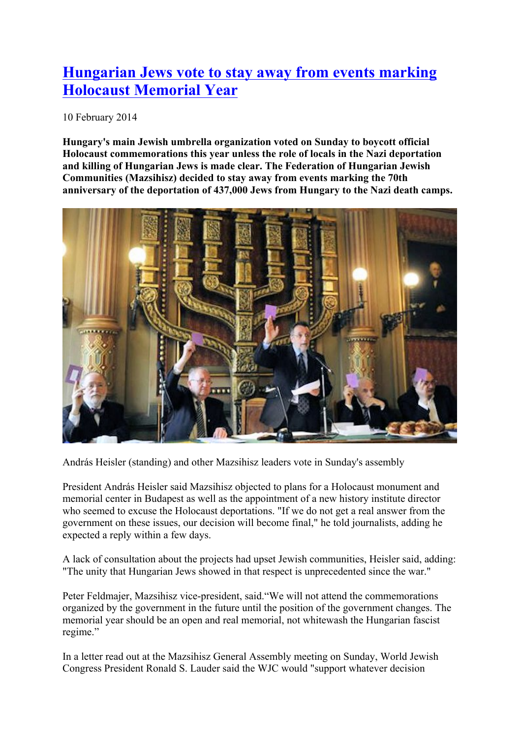## **Hungarian Jews vote to stay away from events marking Holocaust Memorial Year**

10 February 2014

**Hungary's main Jewish umbrella organization voted on Sunday to boycott official Holocaust commemorations this year unless the role of locals in the Nazi deportation and killing of Hungarian Jews is made clear. The Federation of Hungarian Jewish Communities (Mazsihisz) decided to stay away from events marking the 70th anniversary of the deportation of 437,000 Jews from Hungary to the Nazi death camps.**



András Heisler (standing) and other Mazsihisz leaders vote in Sunday's assembly

President András Heisler said Mazsihisz objected to plans for a Holocaust monument and memorial center in Budapest as well as the appointment of a new history institute director who seemed to excuse the Holocaust deportations. "If we do not get a real answer from the government on these issues, our decision will become final," he told journalists, adding he expected a reply within a few days.

A lack of consultation about the projects had upset Jewish communities, Heisler said, adding: "The unity that Hungarian Jews showed in that respect is unprecedented since the war."

Peter Feldmajer, Mazsihisz vice-president, said."We will not attend the commemorations organized by the government in the future until the position of the government changes. The memorial year should be an open and real memorial, not whitewash the Hungarian fascist regime."

In a letter read out at the Mazsihisz General Assembly meeting on Sunday, World Jewish Congress President Ronald S. Lauder said the WJC would "support whatever decision